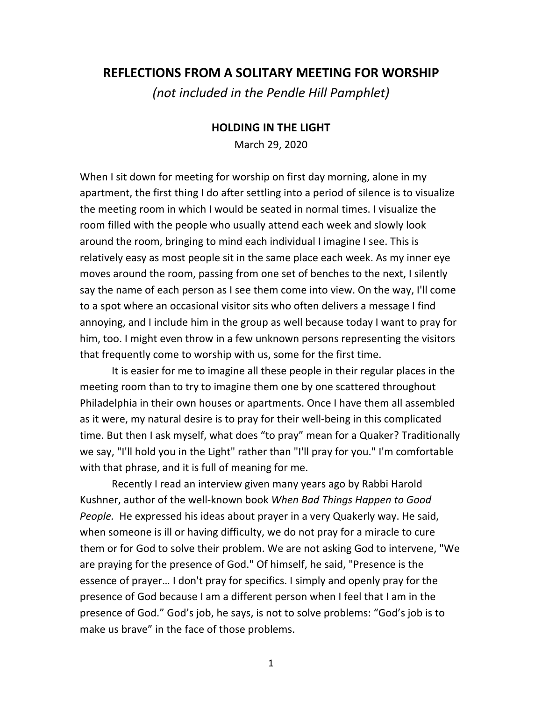## **REFLECTIONS FROM A SOLITARY MEETING FOR WORSHIP**

*(not included in the Pendle Hill Pamphlet)*

## **HOLDING IN THE LIGHT**

March 29, 2020

When I sit down for meeting for worship on first day morning, alone in my apartment, the first thing I do after settling into a period of silence is to visualize the meeting room in which I would be seated in normal times. I visualize the room filled with the people who usually attend each week and slowly look around the room, bringing to mind each individual I imagine I see. This is relatively easy as most people sit in the same place each week. As my inner eye moves around the room, passing from one set of benches to the next, I silently say the name of each person as I see them come into view. On the way, I'll come to a spot where an occasional visitor sits who often delivers a message I find annoying, and I include him in the group as well because today I want to pray for him, too. I might even throw in a few unknown persons representing the visitors that frequently come to worship with us, some for the first time.

It is easier for me to imagine all these people in their regular places in the meeting room than to try to imagine them one by one scattered throughout Philadelphia in their own houses or apartments. Once I have them all assembled as it were, my natural desire is to pray for their well-being in this complicated time. But then I ask myself, what does "to pray" mean for a Quaker? Traditionally we say, "I'll hold you in the Light" rather than "I'll pray for you." I'm comfortable with that phrase, and it is full of meaning for me.

Recently I read an interview given many years ago by Rabbi Harold Kushner, author of the well-known book *When Bad Things Happen to Good People.* He expressed his ideas about prayer in a very Quakerly way. He said, when someone is ill or having difficulty, we do not pray for a miracle to cure them or for God to solve their problem. We are not asking God to intervene, "We are praying for the presence of God." Of himself, he said, "Presence is the essence of prayer… I don't pray for specifics. I simply and openly pray for the presence of God because I am a different person when I feel that I am in the presence of God." God's job, he says, is not to solve problems: "God's job is to make us brave" in the face of those problems.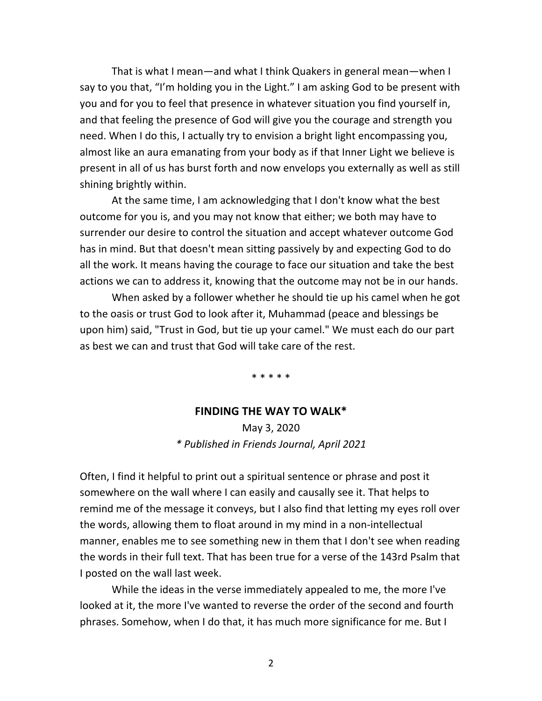That is what I mean—and what I think Quakers in general mean—when I say to you that, "I'm holding you in the Light." I am asking God to be present with you and for you to feel that presence in whatever situation you find yourself in, and that feeling the presence of God will give you the courage and strength you need. When I do this, I actually try to envision a bright light encompassing you, almost like an aura emanating from your body as if that Inner Light we believe is present in all of us has burst forth and now envelops you externally as well as still shining brightly within.

At the same time, I am acknowledging that I don't know what the best outcome for you is, and you may not know that either; we both may have to surrender our desire to control the situation and accept whatever outcome God has in mind. But that doesn't mean sitting passively by and expecting God to do all the work. It means having the courage to face our situation and take the best actions we can to address it, knowing that the outcome may not be in our hands.

When asked by a follower whether he should tie up his camel when he got to the oasis or trust God to look after it, Muhammad (peace and blessings be upon him) said, "Trust in God, but tie up your camel." We must each do our part as best we can and trust that God will take care of the rest.

\* \* \* \* \*

#### **FINDING THE WAY TO WALK\***

May 3, 2020 *\* Published in Friends Journal, April 2021*

Often, I find it helpful to print out a spiritual sentence or phrase and post it somewhere on the wall where I can easily and causally see it. That helps to remind me of the message it conveys, but I also find that letting my eyes roll over the words, allowing them to float around in my mind in a non-intellectual manner, enables me to see something new in them that I don't see when reading the words in their full text. That has been true for a verse of the 143rd Psalm that I posted on the wall last week.

While the ideas in the verse immediately appealed to me, the more I've looked at it, the more I've wanted to reverse the order of the second and fourth phrases. Somehow, when I do that, it has much more significance for me. But I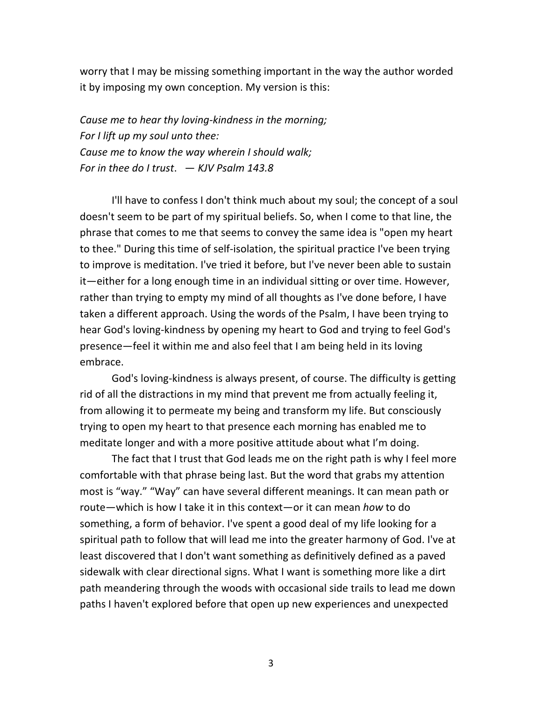worry that I may be missing something important in the way the author worded it by imposing my own conception. My version is this:

*Cause me to hear thy loving-kindness in the morning; For I lift up my soul unto thee: Cause me to know the way wherein I should walk; For in thee do I trust*. — *KJV Psalm 143.8*

I'll have to confess I don't think much about my soul; the concept of a soul doesn't seem to be part of my spiritual beliefs. So, when I come to that line, the phrase that comes to me that seems to convey the same idea is "open my heart to thee." During this time of self-isolation, the spiritual practice I've been trying to improve is meditation. I've tried it before, but I've never been able to sustain it—either for a long enough time in an individual sitting or over time. However, rather than trying to empty my mind of all thoughts as I've done before, I have taken a different approach. Using the words of the Psalm, I have been trying to hear God's loving-kindness by opening my heart to God and trying to feel God's presence—feel it within me and also feel that I am being held in its loving embrace.

God's loving-kindness is always present, of course. The difficulty is getting rid of all the distractions in my mind that prevent me from actually feeling it, from allowing it to permeate my being and transform my life. But consciously trying to open my heart to that presence each morning has enabled me to meditate longer and with a more positive attitude about what I'm doing.

The fact that I trust that God leads me on the right path is why I feel more comfortable with that phrase being last. But the word that grabs my attention most is "way." "Way" can have several different meanings. It can mean path or route—which is how I take it in this context—or it can mean *how* to do something, a form of behavior. I've spent a good deal of my life looking for a spiritual path to follow that will lead me into the greater harmony of God. I've at least discovered that I don't want something as definitively defined as a paved sidewalk with clear directional signs. What I want is something more like a dirt path meandering through the woods with occasional side trails to lead me down paths I haven't explored before that open up new experiences and unexpected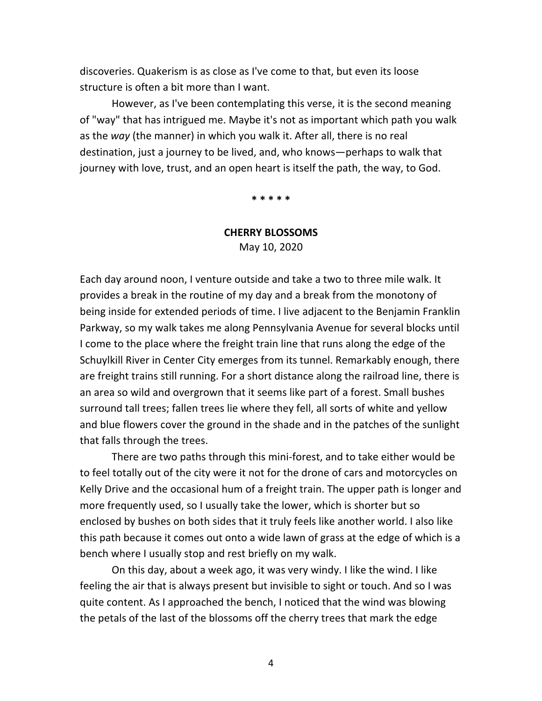discoveries. Quakerism is as close as I've come to that, but even its loose structure is often a bit more than I want.

However, as I've been contemplating this verse, it is the second meaning of "way" that has intrigued me. Maybe it's not as important which path you walk as the *way* (the manner) in which you walk it. After all, there is no real destination, just a journey to be lived, and, who knows—perhaps to walk that journey with love, trust, and an open heart is itself the path, the way, to God.

**\* \* \* \* \***

#### **CHERRY BLOSSOMS**

May 10, 2020

Each day around noon, I venture outside and take a two to three mile walk. It provides a break in the routine of my day and a break from the monotony of being inside for extended periods of time. I live adjacent to the Benjamin Franklin Parkway, so my walk takes me along Pennsylvania Avenue for several blocks until I come to the place where the freight train line that runs along the edge of the Schuylkill River in Center City emerges from its tunnel. Remarkably enough, there are freight trains still running. For a short distance along the railroad line, there is an area so wild and overgrown that it seems like part of a forest. Small bushes surround tall trees; fallen trees lie where they fell, all sorts of white and yellow and blue flowers cover the ground in the shade and in the patches of the sunlight that falls through the trees.

There are two paths through this mini-forest, and to take either would be to feel totally out of the city were it not for the drone of cars and motorcycles on Kelly Drive and the occasional hum of a freight train. The upper path is longer and more frequently used, so I usually take the lower, which is shorter but so enclosed by bushes on both sides that it truly feels like another world. I also like this path because it comes out onto a wide lawn of grass at the edge of which is a bench where I usually stop and rest briefly on my walk.

On this day, about a week ago, it was very windy. I like the wind. I like feeling the air that is always present but invisible to sight or touch. And so I was quite content. As I approached the bench, I noticed that the wind was blowing the petals of the last of the blossoms off the cherry trees that mark the edge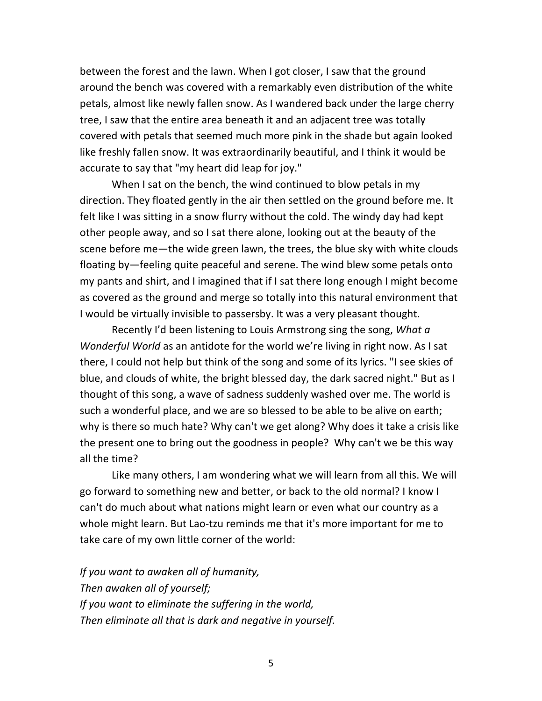between the forest and the lawn. When I got closer, I saw that the ground around the bench was covered with a remarkably even distribution of the white petals, almost like newly fallen snow. As I wandered back under the large cherry tree, I saw that the entire area beneath it and an adjacent tree was totally covered with petals that seemed much more pink in the shade but again looked like freshly fallen snow. It was extraordinarily beautiful, and I think it would be accurate to say that "my heart did leap for joy."

When I sat on the bench, the wind continued to blow petals in my direction. They floated gently in the air then settled on the ground before me. It felt like I was sitting in a snow flurry without the cold. The windy day had kept other people away, and so I sat there alone, looking out at the beauty of the scene before me—the wide green lawn, the trees, the blue sky with white clouds floating by—feeling quite peaceful and serene. The wind blew some petals onto my pants and shirt, and I imagined that if I sat there long enough I might become as covered as the ground and merge so totally into this natural environment that I would be virtually invisible to passersby. It was a very pleasant thought.

Recently I'd been listening to Louis Armstrong sing the song, *What a Wonderful World* as an antidote for the world we're living in right now. As I sat there, I could not help but think of the song and some of its lyrics. "I see skies of blue, and clouds of white, the bright blessed day, the dark sacred night." But as I thought of this song, a wave of sadness suddenly washed over me. The world is such a wonderful place, and we are so blessed to be able to be alive on earth; why is there so much hate? Why can't we get along? Why does it take a crisis like the present one to bring out the goodness in people? Why can't we be this way all the time?

Like many others, I am wondering what we will learn from all this. We will go forward to something new and better, or back to the old normal? I know I can't do much about what nations might learn or even what our country as a whole might learn. But Lao-tzu reminds me that it's more important for me to take care of my own little corner of the world:

*If you want to awaken all of humanity, Then awaken all of yourself; If you want to eliminate the suffering in the world, Then eliminate all that is dark and negative in yourself.*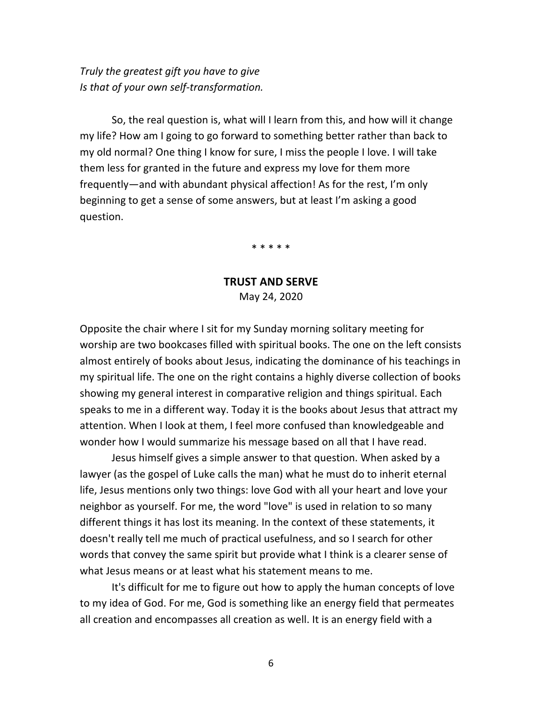*Truly the greatest gift you have to give Is that of your own self-transformation.*

So, the real question is, what will I learn from this, and how will it change my life? How am I going to go forward to something better rather than back to my old normal? One thing I know for sure, I miss the people I love. I will take them less for granted in the future and express my love for them more frequently—and with abundant physical affection! As for the rest, I'm only beginning to get a sense of some answers, but at least I'm asking a good question.

\* \* \* \* \*

### **TRUST AND SERVE** May 24, 2020

Opposite the chair where I sit for my Sunday morning solitary meeting for worship are two bookcases filled with spiritual books. The one on the left consists almost entirely of books about Jesus, indicating the dominance of his teachings in my spiritual life. The one on the right contains a highly diverse collection of books showing my general interest in comparative religion and things spiritual. Each speaks to me in a different way. Today it is the books about Jesus that attract my attention. When I look at them, I feel more confused than knowledgeable and wonder how I would summarize his message based on all that I have read.

Jesus himself gives a simple answer to that question. When asked by a lawyer (as the gospel of Luke calls the man) what he must do to inherit eternal life, Jesus mentions only two things: love God with all your heart and love your neighbor as yourself. For me, the word "love" is used in relation to so many different things it has lost its meaning. In the context of these statements, it doesn't really tell me much of practical usefulness, and so I search for other words that convey the same spirit but provide what I think is a clearer sense of what Jesus means or at least what his statement means to me.

It's difficult for me to figure out how to apply the human concepts of love to my idea of God. For me, God is something like an energy field that permeates all creation and encompasses all creation as well. It is an energy field with a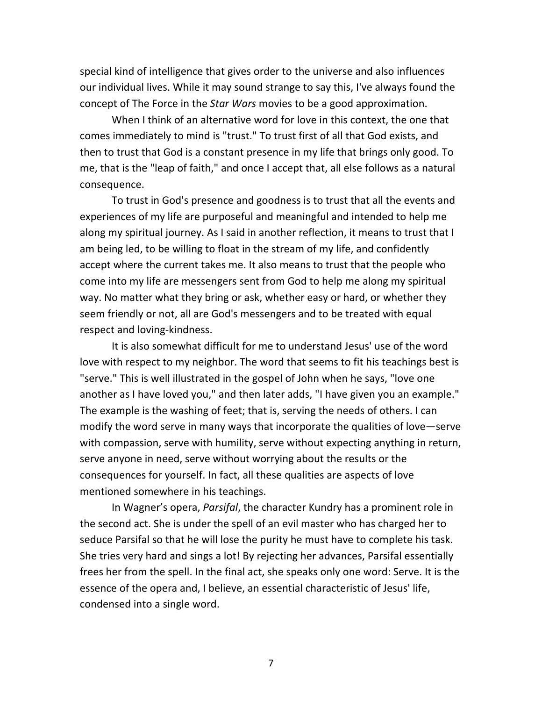special kind of intelligence that gives order to the universe and also influences our individual lives. While it may sound strange to say this, I've always found the concept of The Force in the *Star Wars* movies to be a good approximation.

When I think of an alternative word for love in this context, the one that comes immediately to mind is "trust." To trust first of all that God exists, and then to trust that God is a constant presence in my life that brings only good. To me, that is the "leap of faith," and once I accept that, all else follows as a natural consequence.

To trust in God's presence and goodness is to trust that all the events and experiences of my life are purposeful and meaningful and intended to help me along my spiritual journey. As I said in another reflection, it means to trust that I am being led, to be willing to float in the stream of my life, and confidently accept where the current takes me. It also means to trust that the people who come into my life are messengers sent from God to help me along my spiritual way. No matter what they bring or ask, whether easy or hard, or whether they seem friendly or not, all are God's messengers and to be treated with equal respect and loving-kindness.

It is also somewhat difficult for me to understand Jesus' use of the word love with respect to my neighbor. The word that seems to fit his teachings best is "serve." This is well illustrated in the gospel of John when he says, "love one another as I have loved you," and then later adds, "I have given you an example." The example is the washing of feet; that is, serving the needs of others. I can modify the word serve in many ways that incorporate the qualities of love—serve with compassion, serve with humility, serve without expecting anything in return, serve anyone in need, serve without worrying about the results or the consequences for yourself. In fact, all these qualities are aspects of love mentioned somewhere in his teachings.

In Wagner's opera, *Parsifal*, the character Kundry has a prominent role in the second act. She is under the spell of an evil master who has charged her to seduce Parsifal so that he will lose the purity he must have to complete his task. She tries very hard and sings a lot! By rejecting her advances, Parsifal essentially frees her from the spell. In the final act, she speaks only one word: Serve. It is the essence of the opera and, I believe, an essential characteristic of Jesus' life, condensed into a single word.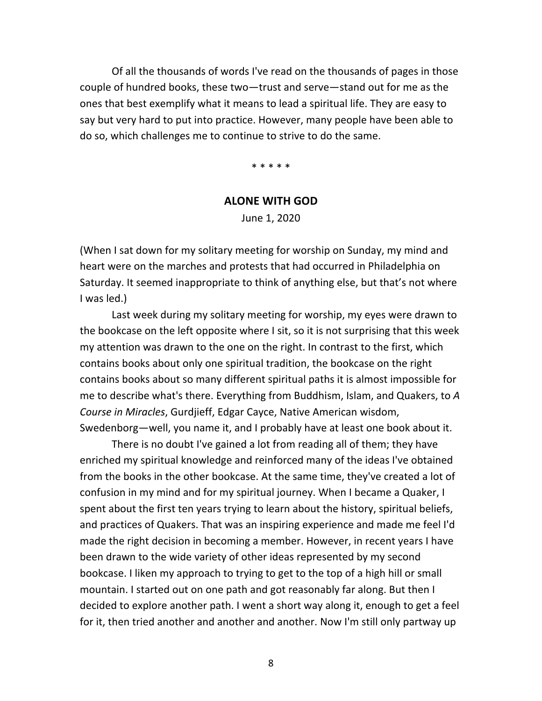Of all the thousands of words I've read on the thousands of pages in those couple of hundred books, these two—trust and serve—stand out for me as the ones that best exemplify what it means to lead a spiritual life. They are easy to say but very hard to put into practice. However, many people have been able to do so, which challenges me to continue to strive to do the same.

\* \* \* \* \*

#### **ALONE WITH GOD**

June 1, 2020

(When I sat down for my solitary meeting for worship on Sunday, my mind and heart were on the marches and protests that had occurred in Philadelphia on Saturday. It seemed inappropriate to think of anything else, but that's not where I was led.)

Last week during my solitary meeting for worship, my eyes were drawn to the bookcase on the left opposite where I sit, so it is not surprising that this week my attention was drawn to the one on the right. In contrast to the first, which contains books about only one spiritual tradition, the bookcase on the right contains books about so many different spiritual paths it is almost impossible for me to describe what's there. Everything from Buddhism, Islam, and Quakers, to *A Course in Miracles*, Gurdjieff, Edgar Cayce, Native American wisdom, Swedenborg—well, you name it, and I probably have at least one book about it.

There is no doubt I've gained a lot from reading all of them; they have enriched my spiritual knowledge and reinforced many of the ideas I've obtained from the books in the other bookcase. At the same time, they've created a lot of confusion in my mind and for my spiritual journey. When I became a Quaker, I spent about the first ten years trying to learn about the history, spiritual beliefs, and practices of Quakers. That was an inspiring experience and made me feel I'd made the right decision in becoming a member. However, in recent years I have been drawn to the wide variety of other ideas represented by my second bookcase. I liken my approach to trying to get to the top of a high hill or small mountain. I started out on one path and got reasonably far along. But then I decided to explore another path. I went a short way along it, enough to get a feel for it, then tried another and another and another. Now I'm still only partway up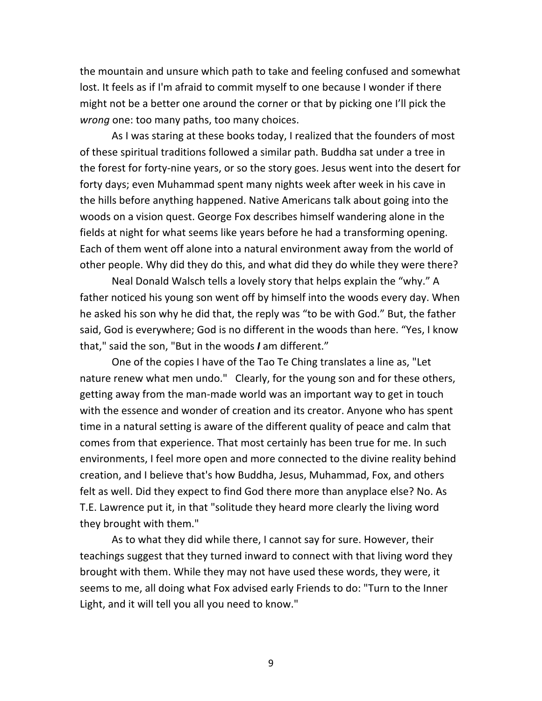the mountain and unsure which path to take and feeling confused and somewhat lost. It feels as if I'm afraid to commit myself to one because I wonder if there might not be a better one around the corner or that by picking one I'll pick the *wrong* one: too many paths, too many choices.

As I was staring at these books today, I realized that the founders of most of these spiritual traditions followed a similar path. Buddha sat under a tree in the forest for forty-nine years, or so the story goes. Jesus went into the desert for forty days; even Muhammad spent many nights week after week in his cave in the hills before anything happened. Native Americans talk about going into the woods on a vision quest. George Fox describes himself wandering alone in the fields at night for what seems like years before he had a transforming opening. Each of them went off alone into a natural environment away from the world of other people. Why did they do this, and what did they do while they were there?

Neal Donald Walsch tells a lovely story that helps explain the "why." A father noticed his young son went off by himself into the woods every day. When he asked his son why he did that, the reply was "to be with God." But, the father said, God is everywhere; God is no different in the woods than here. "Yes, I know that," said the son, "But in the woods *I* am different."

One of the copies I have of the Tao Te Ching translates a line as, "Let nature renew what men undo." Clearly, for the young son and for these others, getting away from the man-made world was an important way to get in touch with the essence and wonder of creation and its creator. Anyone who has spent time in a natural setting is aware of the different quality of peace and calm that comes from that experience. That most certainly has been true for me. In such environments, I feel more open and more connected to the divine reality behind creation, and I believe that's how Buddha, Jesus, Muhammad, Fox, and others felt as well. Did they expect to find God there more than anyplace else? No. As T.E. Lawrence put it, in that "solitude they heard more clearly the living word they brought with them."

As to what they did while there, I cannot say for sure. However, their teachings suggest that they turned inward to connect with that living word they brought with them. While they may not have used these words, they were, it seems to me, all doing what Fox advised early Friends to do: "Turn to the Inner Light, and it will tell you all you need to know."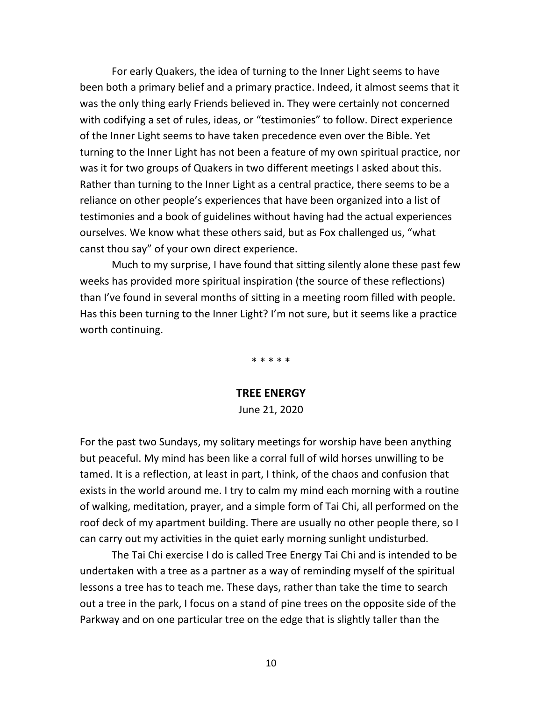For early Quakers, the idea of turning to the Inner Light seems to have been both a primary belief and a primary practice. Indeed, it almost seems that it was the only thing early Friends believed in. They were certainly not concerned with codifying a set of rules, ideas, or "testimonies" to follow. Direct experience of the Inner Light seems to have taken precedence even over the Bible. Yet turning to the Inner Light has not been a feature of my own spiritual practice, nor was it for two groups of Quakers in two different meetings I asked about this. Rather than turning to the Inner Light as a central practice, there seems to be a reliance on other people's experiences that have been organized into a list of testimonies and a book of guidelines without having had the actual experiences ourselves. We know what these others said, but as Fox challenged us, "what canst thou say" of your own direct experience.

Much to my surprise, I have found that sitting silently alone these past few weeks has provided more spiritual inspiration (the source of these reflections) than I've found in several months of sitting in a meeting room filled with people. Has this been turning to the Inner Light? I'm not sure, but it seems like a practice worth continuing.

\* \* \* \* \*

## **TREE ENERGY** June 21, 2020

For the past two Sundays, my solitary meetings for worship have been anything but peaceful. My mind has been like a corral full of wild horses unwilling to be tamed. It is a reflection, at least in part, I think, of the chaos and confusion that exists in the world around me. I try to calm my mind each morning with a routine of walking, meditation, prayer, and a simple form of Tai Chi, all performed on the roof deck of my apartment building. There are usually no other people there, so I can carry out my activities in the quiet early morning sunlight undisturbed.

The Tai Chi exercise I do is called Tree Energy Tai Chi and is intended to be undertaken with a tree as a partner as a way of reminding myself of the spiritual lessons a tree has to teach me. These days, rather than take the time to search out a tree in the park, I focus on a stand of pine trees on the opposite side of the Parkway and on one particular tree on the edge that is slightly taller than the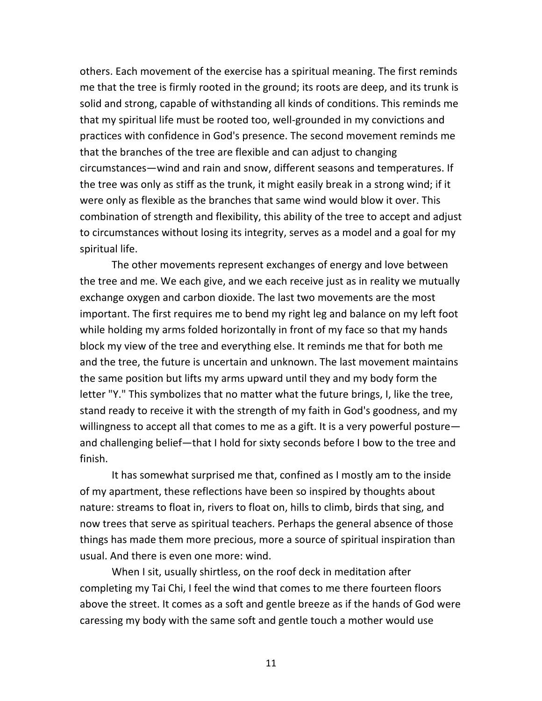others. Each movement of the exercise has a spiritual meaning. The first reminds me that the tree is firmly rooted in the ground; its roots are deep, and its trunk is solid and strong, capable of withstanding all kinds of conditions. This reminds me that my spiritual life must be rooted too, well-grounded in my convictions and practices with confidence in God's presence. The second movement reminds me that the branches of the tree are flexible and can adjust to changing circumstances—wind and rain and snow, different seasons and temperatures. If the tree was only as stiff as the trunk, it might easily break in a strong wind; if it were only as flexible as the branches that same wind would blow it over. This combination of strength and flexibility, this ability of the tree to accept and adjust to circumstances without losing its integrity, serves as a model and a goal for my spiritual life.

The other movements represent exchanges of energy and love between the tree and me. We each give, and we each receive just as in reality we mutually exchange oxygen and carbon dioxide. The last two movements are the most important. The first requires me to bend my right leg and balance on my left foot while holding my arms folded horizontally in front of my face so that my hands block my view of the tree and everything else. It reminds me that for both me and the tree, the future is uncertain and unknown. The last movement maintains the same position but lifts my arms upward until they and my body form the letter "Y." This symbolizes that no matter what the future brings, I, like the tree, stand ready to receive it with the strength of my faith in God's goodness, and my willingness to accept all that comes to me as a gift. It is a very powerful posture and challenging belief—that I hold for sixty seconds before I bow to the tree and finish.

It has somewhat surprised me that, confined as I mostly am to the inside of my apartment, these reflections have been so inspired by thoughts about nature: streams to float in, rivers to float on, hills to climb, birds that sing, and now trees that serve as spiritual teachers. Perhaps the general absence of those things has made them more precious, more a source of spiritual inspiration than usual. And there is even one more: wind.

When I sit, usually shirtless, on the roof deck in meditation after completing my Tai Chi, I feel the wind that comes to me there fourteen floors above the street. It comes as a soft and gentle breeze as if the hands of God were caressing my body with the same soft and gentle touch a mother would use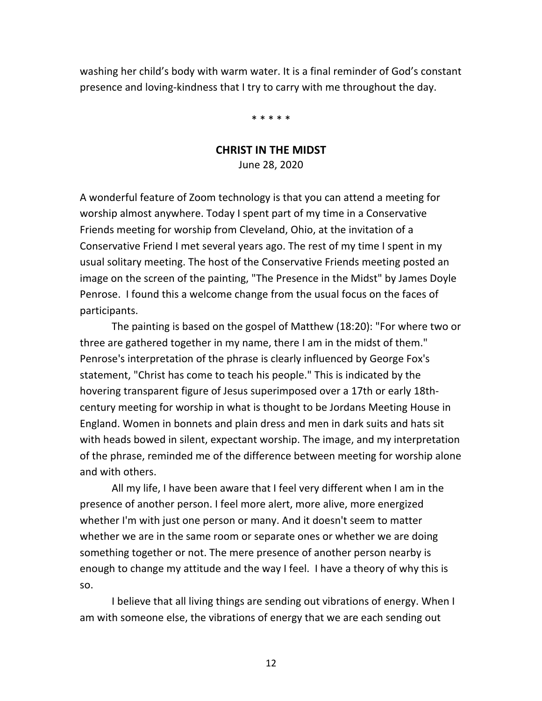washing her child's body with warm water. It is a final reminder of God's constant presence and loving-kindness that I try to carry with me throughout the day.

\* \* \* \* \*

## **CHRIST IN THE MIDST** June 28, 2020

A wonderful feature of Zoom technology is that you can attend a meeting for worship almost anywhere. Today I spent part of my time in a Conservative Friends meeting for worship from Cleveland, Ohio, at the invitation of a Conservative Friend I met several years ago. The rest of my time I spent in my usual solitary meeting. The host of the Conservative Friends meeting posted an image on the screen of the painting, "The Presence in the Midst" by James Doyle Penrose. I found this a welcome change from the usual focus on the faces of participants.

The painting is based on the gospel of Matthew (18:20): "For where two or three are gathered together in my name, there I am in the midst of them." Penrose's interpretation of the phrase is clearly influenced by George Fox's statement, "Christ has come to teach his people." This is indicated by the hovering transparent figure of Jesus superimposed over a 17th or early 18thcentury meeting for worship in what is thought to be Jordans Meeting House in England. Women in bonnets and plain dress and men in dark suits and hats sit with heads bowed in silent, expectant worship. The image, and my interpretation of the phrase, reminded me of the difference between meeting for worship alone and with others.

All my life, I have been aware that I feel very different when I am in the presence of another person. I feel more alert, more alive, more energized whether I'm with just one person or many. And it doesn't seem to matter whether we are in the same room or separate ones or whether we are doing something together or not. The mere presence of another person nearby is enough to change my attitude and the way I feel. I have a theory of why this is so.

I believe that all living things are sending out vibrations of energy. When I am with someone else, the vibrations of energy that we are each sending out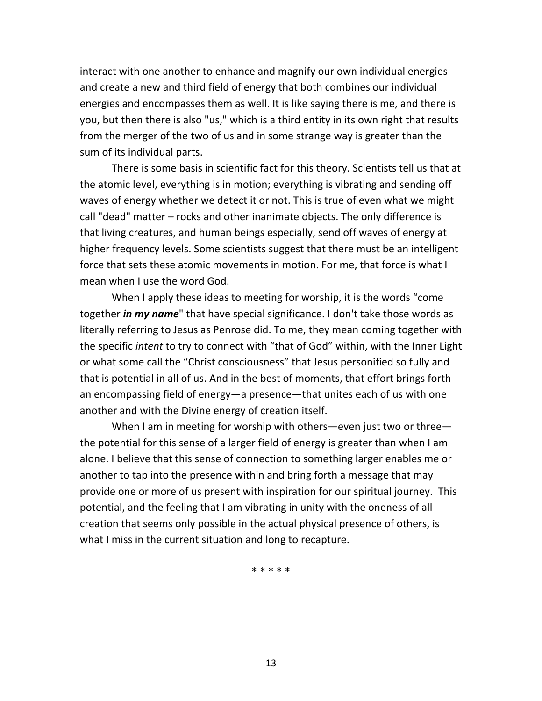interact with one another to enhance and magnify our own individual energies and create a new and third field of energy that both combines our individual energies and encompasses them as well. It is like saying there is me, and there is you, but then there is also "us," which is a third entity in its own right that results from the merger of the two of us and in some strange way is greater than the sum of its individual parts.

There is some basis in scientific fact for this theory. Scientists tell us that at the atomic level, everything is in motion; everything is vibrating and sending off waves of energy whether we detect it or not. This is true of even what we might call "dead" matter – rocks and other inanimate objects. The only difference is that living creatures, and human beings especially, send off waves of energy at higher frequency levels. Some scientists suggest that there must be an intelligent force that sets these atomic movements in motion. For me, that force is what I mean when I use the word God.

When I apply these ideas to meeting for worship, it is the words "come together *in my name*" that have special significance. I don't take those words as literally referring to Jesus as Penrose did. To me, they mean coming together with the specific *intent* to try to connect with "that of God" within, with the Inner Light or what some call the "Christ consciousness" that Jesus personified so fully and that is potential in all of us. And in the best of moments, that effort brings forth an encompassing field of energy—a presence—that unites each of us with one another and with the Divine energy of creation itself.

When I am in meeting for worship with others—even just two or three the potential for this sense of a larger field of energy is greater than when I am alone. I believe that this sense of connection to something larger enables me or another to tap into the presence within and bring forth a message that may provide one or more of us present with inspiration for our spiritual journey. This potential, and the feeling that I am vibrating in unity with the oneness of all creation that seems only possible in the actual physical presence of others, is what I miss in the current situation and long to recapture.

\* \* \* \* \*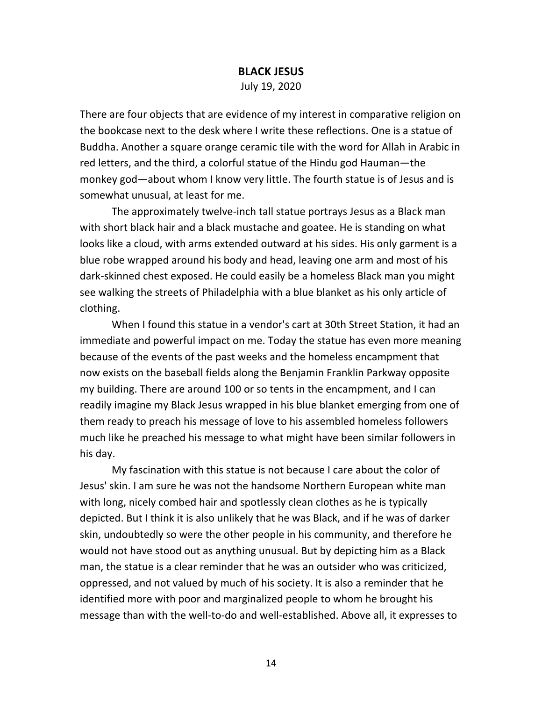#### **BLACK JESUS**

July 19, 2020

There are four objects that are evidence of my interest in comparative religion on the bookcase next to the desk where I write these reflections. One is a statue of Buddha. Another a square orange ceramic tile with the word for Allah in Arabic in red letters, and the third, a colorful statue of the Hindu god Hauman—the monkey god—about whom I know very little. The fourth statue is of Jesus and is somewhat unusual, at least for me.

The approximately twelve-inch tall statue portrays Jesus as a Black man with short black hair and a black mustache and goatee. He is standing on what looks like a cloud, with arms extended outward at his sides. His only garment is a blue robe wrapped around his body and head, leaving one arm and most of his dark-skinned chest exposed. He could easily be a homeless Black man you might see walking the streets of Philadelphia with a blue blanket as his only article of clothing.

When I found this statue in a vendor's cart at 30th Street Station, it had an immediate and powerful impact on me. Today the statue has even more meaning because of the events of the past weeks and the homeless encampment that now exists on the baseball fields along the Benjamin Franklin Parkway opposite my building. There are around 100 or so tents in the encampment, and I can readily imagine my Black Jesus wrapped in his blue blanket emerging from one of them ready to preach his message of love to his assembled homeless followers much like he preached his message to what might have been similar followers in his day.

My fascination with this statue is not because I care about the color of Jesus' skin. I am sure he was not the handsome Northern European white man with long, nicely combed hair and spotlessly clean clothes as he is typically depicted. But I think it is also unlikely that he was Black, and if he was of darker skin, undoubtedly so were the other people in his community, and therefore he would not have stood out as anything unusual. But by depicting him as a Black man, the statue is a clear reminder that he was an outsider who was criticized, oppressed, and not valued by much of his society. It is also a reminder that he identified more with poor and marginalized people to whom he brought his message than with the well-to-do and well-established. Above all, it expresses to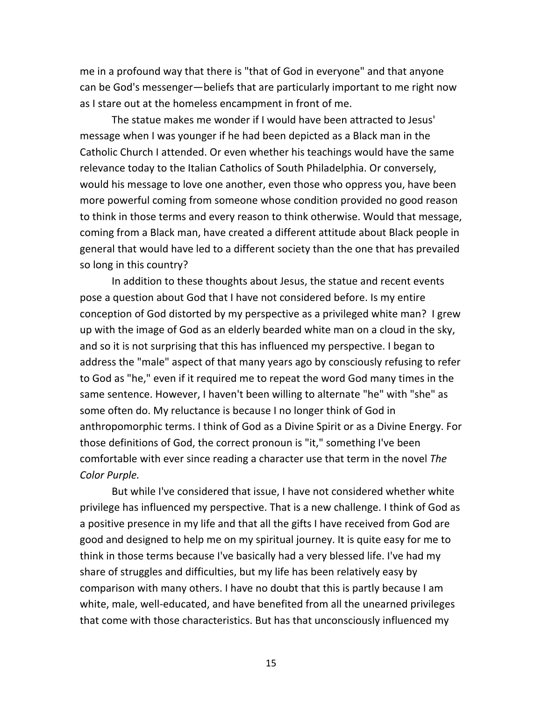me in a profound way that there is "that of God in everyone" and that anyone can be God's messenger—beliefs that are particularly important to me right now as I stare out at the homeless encampment in front of me.

The statue makes me wonder if I would have been attracted to Jesus' message when I was younger if he had been depicted as a Black man in the Catholic Church I attended. Or even whether his teachings would have the same relevance today to the Italian Catholics of South Philadelphia. Or conversely, would his message to love one another, even those who oppress you, have been more powerful coming from someone whose condition provided no good reason to think in those terms and every reason to think otherwise. Would that message, coming from a Black man, have created a different attitude about Black people in general that would have led to a different society than the one that has prevailed so long in this country?

In addition to these thoughts about Jesus, the statue and recent events pose a question about God that I have not considered before. Is my entire conception of God distorted by my perspective as a privileged white man? I grew up with the image of God as an elderly bearded white man on a cloud in the sky, and so it is not surprising that this has influenced my perspective. I began to address the "male" aspect of that many years ago by consciously refusing to refer to God as "he," even if it required me to repeat the word God many times in the same sentence. However, I haven't been willing to alternate "he" with "she" as some often do. My reluctance is because I no longer think of God in anthropomorphic terms. I think of God as a Divine Spirit or as a Divine Energy. For those definitions of God, the correct pronoun is "it," something I've been comfortable with ever since reading a character use that term in the novel *The Color Purple.*

But while I've considered that issue, I have not considered whether white privilege has influenced my perspective. That is a new challenge. I think of God as a positive presence in my life and that all the gifts I have received from God are good and designed to help me on my spiritual journey. It is quite easy for me to think in those terms because I've basically had a very blessed life. I've had my share of struggles and difficulties, but my life has been relatively easy by comparison with many others. I have no doubt that this is partly because I am white, male, well-educated, and have benefited from all the unearned privileges that come with those characteristics. But has that unconsciously influenced my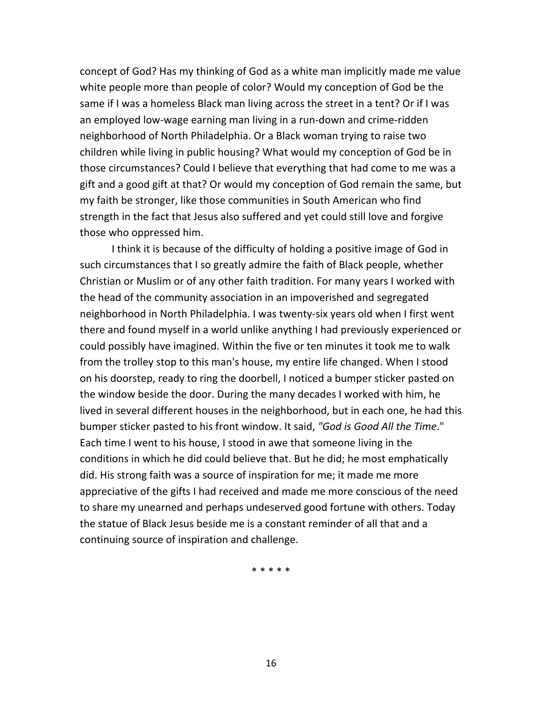concept of God? Has my thinking of God as a white man implicitly made me value white people more than people of color? Would my conception of God be the same if I was a homeless Black man living across the street in a tent? Or if I was an employed low-wage earning man living in a run-down and crime-ridden neighborhood of North Philadelphia. Or a Black woman trying to raise two children while living in public housing? What would my conception of God be in those circumstances? Could I believe that everything that had come to me was a gift and a good gift at that? Or would my conception of God remain the same, but my faith be stronger, like those communities in South American who find strength in the fact that Jesus also suffered and yet could still love and forgive those who oppressed him.

I think it is because of the difficulty of holding a positive image of God in such circumstances that I so greatly admire the faith of Black people, whether Christian or Muslim or of any other faith tradition. For many years I worked with the head of the community association in an impoverished and segregated neighborhood in North Philadelphia. I was twenty-six years old when I first went there and found myself in a world unlike anything I had previously experienced or could possibly have imagined. Within the five or ten minutes it took me to walk from the trolley stop to this man's house, my entire life changed. When I stood on his doorstep, ready to ring the doorbell, I noticed a bumper sticker pasted on the window beside the door. During the many decades I worked with him, he lived in several different houses in the neighborhood, but in each one, he had this bumper sticker pasted to his front window. It said, *"God is Good All the Time*." Each time I went to his house, I stood in awe that someone living in the conditions in which he did could believe that. But he did; he most emphatically did. His strong faith was a source of inspiration for me; it made me more appreciative of the gifts I had received and made me more conscious of the need to share my unearned and perhaps undeserved good fortune with others. Today the statue of Black Jesus beside me is a constant reminder of all that and a continuing source of inspiration and challenge.

\* \* \* \* \*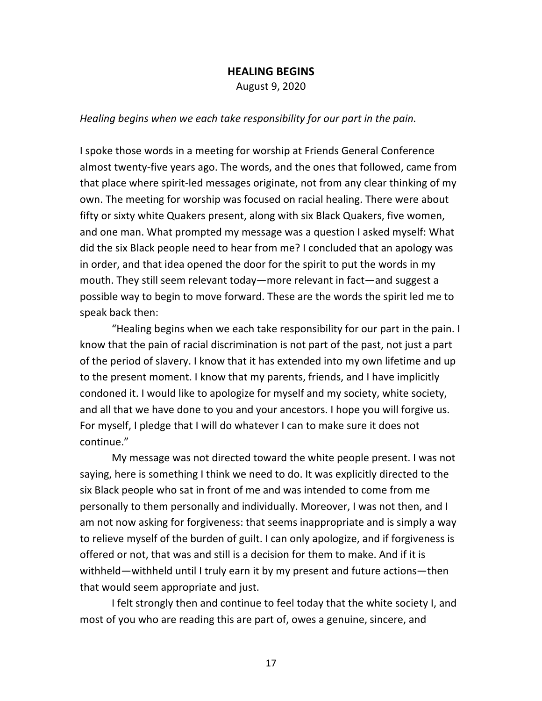#### **HEALING BEGINS**

August 9, 2020

*Healing begins when we each take responsibility for our part in the pain.* 

I spoke those words in a meeting for worship at Friends General Conference almost twenty-five years ago. The words, and the ones that followed, came from that place where spirit-led messages originate, not from any clear thinking of my own. The meeting for worship was focused on racial healing. There were about fifty or sixty white Quakers present, along with six Black Quakers, five women, and one man. What prompted my message was a question I asked myself: What did the six Black people need to hear from me? I concluded that an apology was in order, and that idea opened the door for the spirit to put the words in my mouth. They still seem relevant today—more relevant in fact—and suggest a possible way to begin to move forward. These are the words the spirit led me to speak back then:

"Healing begins when we each take responsibility for our part in the pain. I know that the pain of racial discrimination is not part of the past, not just a part of the period of slavery. I know that it has extended into my own lifetime and up to the present moment. I know that my parents, friends, and I have implicitly condoned it. I would like to apologize for myself and my society, white society, and all that we have done to you and your ancestors. I hope you will forgive us. For myself, I pledge that I will do whatever I can to make sure it does not continue."

My message was not directed toward the white people present. I was not saying, here is something I think we need to do. It was explicitly directed to the six Black people who sat in front of me and was intended to come from me personally to them personally and individually. Moreover, I was not then, and I am not now asking for forgiveness: that seems inappropriate and is simply a way to relieve myself of the burden of guilt. I can only apologize, and if forgiveness is offered or not, that was and still is a decision for them to make. And if it is withheld—withheld until I truly earn it by my present and future actions—then that would seem appropriate and just.

I felt strongly then and continue to feel today that the white society I, and most of you who are reading this are part of, owes a genuine, sincere, and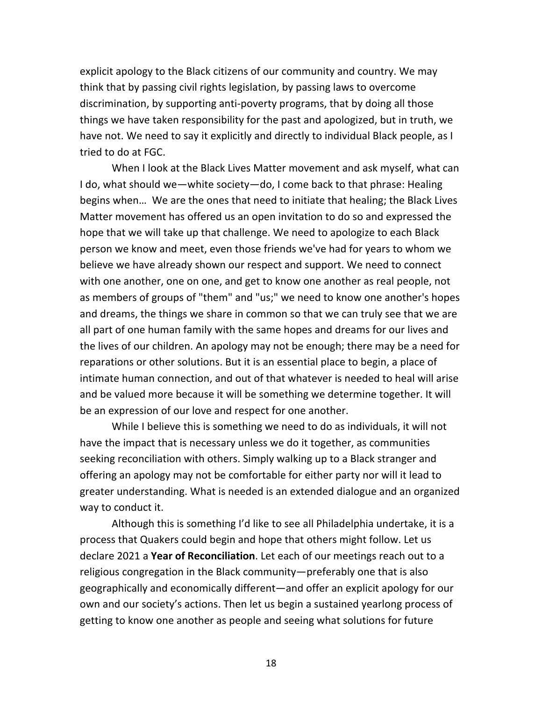explicit apology to the Black citizens of our community and country. We may think that by passing civil rights legislation, by passing laws to overcome discrimination, by supporting anti-poverty programs, that by doing all those things we have taken responsibility for the past and apologized, but in truth, we have not. We need to say it explicitly and directly to individual Black people, as I tried to do at FGC.

When I look at the Black Lives Matter movement and ask myself, what can I do, what should we—white society—do, I come back to that phrase: Healing begins when… We are the ones that need to initiate that healing; the Black Lives Matter movement has offered us an open invitation to do so and expressed the hope that we will take up that challenge. We need to apologize to each Black person we know and meet, even those friends we've had for years to whom we believe we have already shown our respect and support. We need to connect with one another, one on one, and get to know one another as real people, not as members of groups of "them" and "us;" we need to know one another's hopes and dreams, the things we share in common so that we can truly see that we are all part of one human family with the same hopes and dreams for our lives and the lives of our children. An apology may not be enough; there may be a need for reparations or other solutions. But it is an essential place to begin, a place of intimate human connection, and out of that whatever is needed to heal will arise and be valued more because it will be something we determine together. It will be an expression of our love and respect for one another.

While I believe this is something we need to do as individuals, it will not have the impact that is necessary unless we do it together, as communities seeking reconciliation with others. Simply walking up to a Black stranger and offering an apology may not be comfortable for either party nor will it lead to greater understanding. What is needed is an extended dialogue and an organized way to conduct it.

Although this is something I'd like to see all Philadelphia undertake, it is a process that Quakers could begin and hope that others might follow. Let us declare 2021 a **Year of Reconciliation**. Let each of our meetings reach out to a religious congregation in the Black community—preferably one that is also geographically and economically different—and offer an explicit apology for our own and our society's actions. Then let us begin a sustained yearlong process of getting to know one another as people and seeing what solutions for future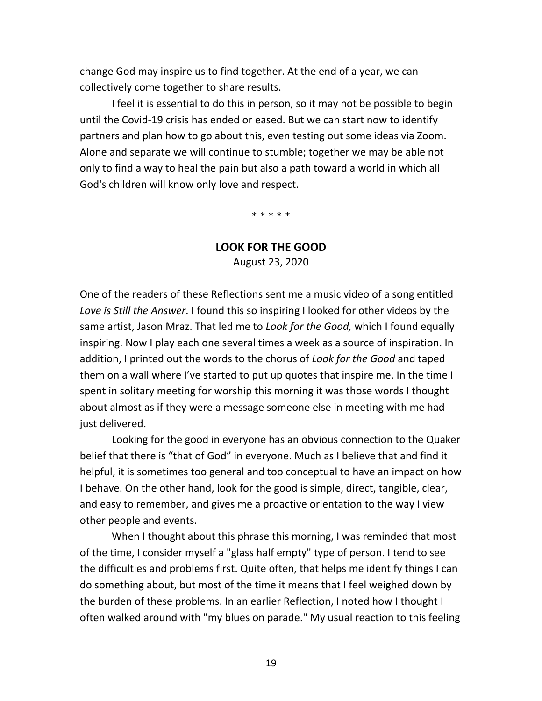change God may inspire us to find together. At the end of a year, we can collectively come together to share results.

I feel it is essential to do this in person, so it may not be possible to begin until the Covid-19 crisis has ended or eased. But we can start now to identify partners and plan how to go about this, even testing out some ideas via Zoom. Alone and separate we will continue to stumble; together we may be able not only to find a way to heal the pain but also a path toward a world in which all God's children will know only love and respect.

\* \* \* \* \*

## **LOOK FOR THE GOOD**

August 23, 2020

One of the readers of these Reflections sent me a music video of a song entitled *Love is Still the Answer*. I found this so inspiring I looked for other videos by the same artist, Jason Mraz. That led me to *Look for the Good,* which I found equally inspiring. Now I play each one several times a week as a source of inspiration. In addition, I printed out the words to the chorus of *Look for the Good* and taped them on a wall where I've started to put up quotes that inspire me. In the time I spent in solitary meeting for worship this morning it was those words I thought about almost as if they were a message someone else in meeting with me had just delivered.

Looking for the good in everyone has an obvious connection to the Quaker belief that there is "that of God" in everyone. Much as I believe that and find it helpful, it is sometimes too general and too conceptual to have an impact on how I behave. On the other hand, look for the good is simple, direct, tangible, clear, and easy to remember, and gives me a proactive orientation to the way I view other people and events.

When I thought about this phrase this morning, I was reminded that most of the time, I consider myself a "glass half empty" type of person. I tend to see the difficulties and problems first. Quite often, that helps me identify things I can do something about, but most of the time it means that I feel weighed down by the burden of these problems. In an earlier Reflection, I noted how I thought I often walked around with "my blues on parade." My usual reaction to this feeling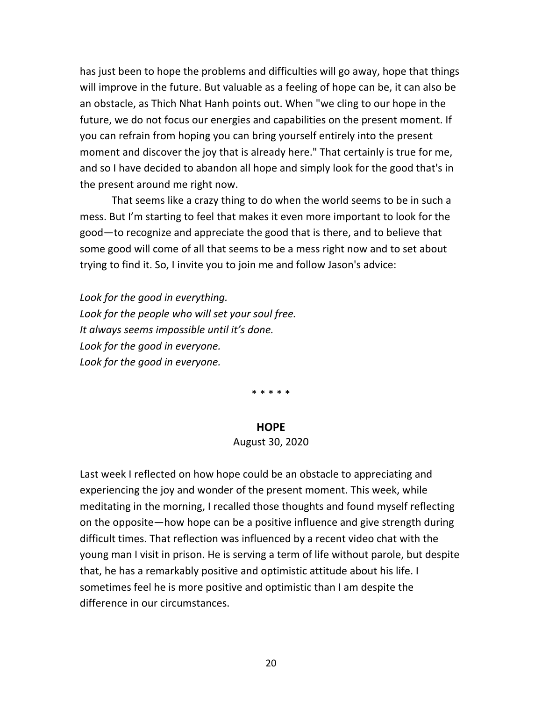has just been to hope the problems and difficulties will go away, hope that things will improve in the future. But valuable as a feeling of hope can be, it can also be an obstacle, as Thich Nhat Hanh points out. When "we cling to our hope in the future, we do not focus our energies and capabilities on the present moment. If you can refrain from hoping you can bring yourself entirely into the present moment and discover the joy that is already here." That certainly is true for me, and so I have decided to abandon all hope and simply look for the good that's in the present around me right now.

That seems like a crazy thing to do when the world seems to be in such a mess. But I'm starting to feel that makes it even more important to look for the good—to recognize and appreciate the good that is there, and to believe that some good will come of all that seems to be a mess right now and to set about trying to find it. So, I invite you to join me and follow Jason's advice:

*Look for the good in everything. Look for the people who will set your soul free. It always seems impossible until it's done. Look for the good in everyone. Look for the good in everyone.* 

\* \* \* \* \*

#### **HOPE**

#### August 30, 2020

Last week I reflected on how hope could be an obstacle to appreciating and experiencing the joy and wonder of the present moment. This week, while meditating in the morning, I recalled those thoughts and found myself reflecting on the opposite—how hope can be a positive influence and give strength during difficult times. That reflection was influenced by a recent video chat with the young man I visit in prison. He is serving a term of life without parole, but despite that, he has a remarkably positive and optimistic attitude about his life. I sometimes feel he is more positive and optimistic than I am despite the difference in our circumstances.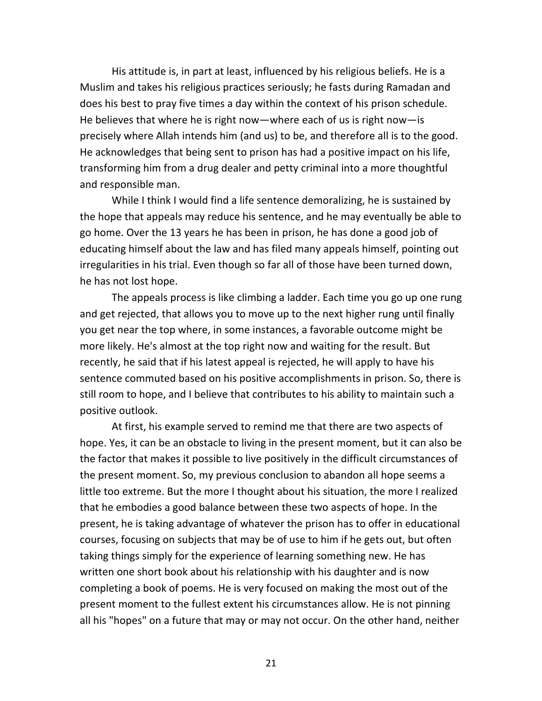His attitude is, in part at least, influenced by his religious beliefs. He is a Muslim and takes his religious practices seriously; he fasts during Ramadan and does his best to pray five times a day within the context of his prison schedule. He believes that where he is right now—where each of us is right now—is precisely where Allah intends him (and us) to be, and therefore all is to the good. He acknowledges that being sent to prison has had a positive impact on his life, transforming him from a drug dealer and petty criminal into a more thoughtful and responsible man.

While I think I would find a life sentence demoralizing, he is sustained by the hope that appeals may reduce his sentence, and he may eventually be able to go home. Over the 13 years he has been in prison, he has done a good job of educating himself about the law and has filed many appeals himself, pointing out irregularities in his trial. Even though so far all of those have been turned down, he has not lost hope.

The appeals process is like climbing a ladder. Each time you go up one rung and get rejected, that allows you to move up to the next higher rung until finally you get near the top where, in some instances, a favorable outcome might be more likely. He's almost at the top right now and waiting for the result. But recently, he said that if his latest appeal is rejected, he will apply to have his sentence commuted based on his positive accomplishments in prison. So, there is still room to hope, and I believe that contributes to his ability to maintain such a positive outlook.

At first, his example served to remind me that there are two aspects of hope. Yes, it can be an obstacle to living in the present moment, but it can also be the factor that makes it possible to live positively in the difficult circumstances of the present moment. So, my previous conclusion to abandon all hope seems a little too extreme. But the more I thought about his situation, the more I realized that he embodies a good balance between these two aspects of hope. In the present, he is taking advantage of whatever the prison has to offer in educational courses, focusing on subjects that may be of use to him if he gets out, but often taking things simply for the experience of learning something new. He has written one short book about his relationship with his daughter and is now completing a book of poems. He is very focused on making the most out of the present moment to the fullest extent his circumstances allow. He is not pinning all his "hopes" on a future that may or may not occur. On the other hand, neither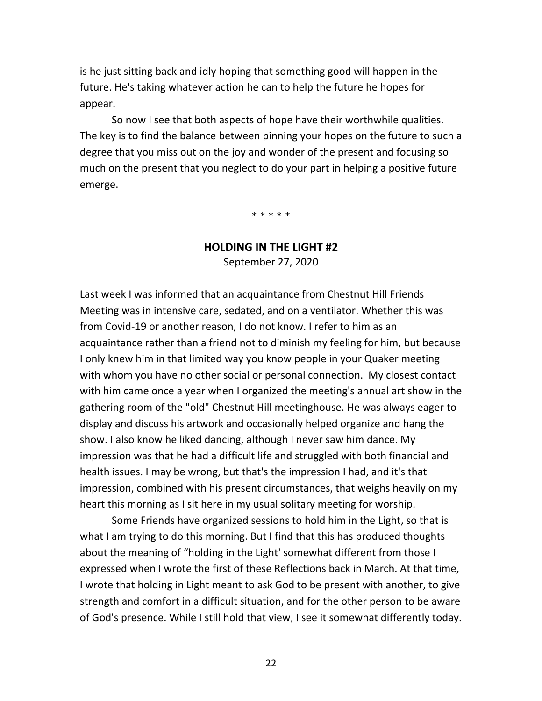is he just sitting back and idly hoping that something good will happen in the future. He's taking whatever action he can to help the future he hopes for appear.

So now I see that both aspects of hope have their worthwhile qualities. The key is to find the balance between pinning your hopes on the future to such a degree that you miss out on the joy and wonder of the present and focusing so much on the present that you neglect to do your part in helping a positive future emerge.

\* \* \* \* \*

# **HOLDING IN THE LIGHT #2**

September 27, 2020

Last week I was informed that an acquaintance from Chestnut Hill Friends Meeting was in intensive care, sedated, and on a ventilator. Whether this was from Covid-19 or another reason, I do not know. I refer to him as an acquaintance rather than a friend not to diminish my feeling for him, but because I only knew him in that limited way you know people in your Quaker meeting with whom you have no other social or personal connection. My closest contact with him came once a year when I organized the meeting's annual art show in the gathering room of the "old" Chestnut Hill meetinghouse. He was always eager to display and discuss his artwork and occasionally helped organize and hang the show. I also know he liked dancing, although I never saw him dance. My impression was that he had a difficult life and struggled with both financial and health issues. I may be wrong, but that's the impression I had, and it's that impression, combined with his present circumstances, that weighs heavily on my heart this morning as I sit here in my usual solitary meeting for worship.

Some Friends have organized sessions to hold him in the Light, so that is what I am trying to do this morning. But I find that this has produced thoughts about the meaning of "holding in the Light' somewhat different from those I expressed when I wrote the first of these Reflections back in March. At that time, I wrote that holding in Light meant to ask God to be present with another, to give strength and comfort in a difficult situation, and for the other person to be aware of God's presence. While I still hold that view, I see it somewhat differently today.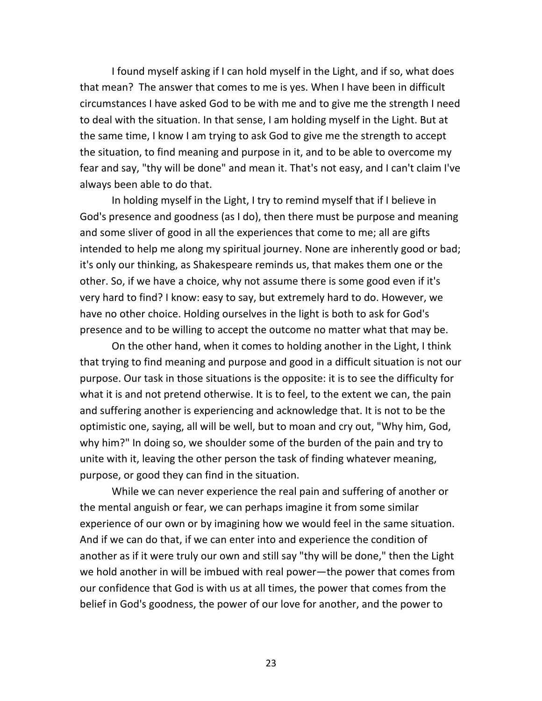I found myself asking if I can hold myself in the Light, and if so, what does that mean? The answer that comes to me is yes. When I have been in difficult circumstances I have asked God to be with me and to give me the strength I need to deal with the situation. In that sense, I am holding myself in the Light. But at the same time, I know I am trying to ask God to give me the strength to accept the situation, to find meaning and purpose in it, and to be able to overcome my fear and say, "thy will be done" and mean it. That's not easy, and I can't claim I've always been able to do that.

In holding myself in the Light, I try to remind myself that if I believe in God's presence and goodness (as I do), then there must be purpose and meaning and some sliver of good in all the experiences that come to me; all are gifts intended to help me along my spiritual journey. None are inherently good or bad; it's only our thinking, as Shakespeare reminds us, that makes them one or the other. So, if we have a choice, why not assume there is some good even if it's very hard to find? I know: easy to say, but extremely hard to do. However, we have no other choice. Holding ourselves in the light is both to ask for God's presence and to be willing to accept the outcome no matter what that may be.

On the other hand, when it comes to holding another in the Light, I think that trying to find meaning and purpose and good in a difficult situation is not our purpose. Our task in those situations is the opposite: it is to see the difficulty for what it is and not pretend otherwise. It is to feel, to the extent we can, the pain and suffering another is experiencing and acknowledge that. It is not to be the optimistic one, saying, all will be well, but to moan and cry out, "Why him, God, why him?" In doing so, we shoulder some of the burden of the pain and try to unite with it, leaving the other person the task of finding whatever meaning, purpose, or good they can find in the situation.

While we can never experience the real pain and suffering of another or the mental anguish or fear, we can perhaps imagine it from some similar experience of our own or by imagining how we would feel in the same situation. And if we can do that, if we can enter into and experience the condition of another as if it were truly our own and still say "thy will be done," then the Light we hold another in will be imbued with real power—the power that comes from our confidence that God is with us at all times, the power that comes from the belief in God's goodness, the power of our love for another, and the power to